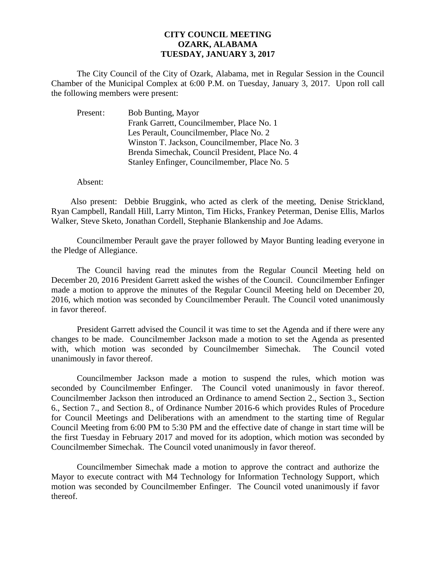## **CITY COUNCIL MEETING OZARK, ALABAMA TUESDAY, JANUARY 3, 2017**

The City Council of the City of Ozark, Alabama, met in Regular Session in the Council Chamber of the Municipal Complex at 6:00 P.M. on Tuesday, January 3, 2017. Upon roll call the following members were present:

| Present: | <b>Bob Bunting, Mayor</b>                       |
|----------|-------------------------------------------------|
|          | Frank Garrett, Councilmember, Place No. 1       |
|          | Les Perault, Councilmember, Place No. 2         |
|          | Winston T. Jackson, Councilmember, Place No. 3  |
|          | Brenda Simechak, Council President, Place No. 4 |
|          | Stanley Enfinger, Councilmember, Place No. 5    |

Absent:

Also present: Debbie Bruggink, who acted as clerk of the meeting, Denise Strickland, Ryan Campbell, Randall Hill, Larry Minton, Tim Hicks, Frankey Peterman, Denise Ellis, Marlos Walker, Steve Sketo, Jonathan Cordell, Stephanie Blankenship and Joe Adams.

Councilmember Perault gave the prayer followed by Mayor Bunting leading everyone in the Pledge of Allegiance.

The Council having read the minutes from the Regular Council Meeting held on December 20, 2016 President Garrett asked the wishes of the Council. Councilmember Enfinger made a motion to approve the minutes of the Regular Council Meeting held on December 20, 2016, which motion was seconded by Councilmember Perault. The Council voted unanimously in favor thereof.

President Garrett advised the Council it was time to set the Agenda and if there were any changes to be made. Councilmember Jackson made a motion to set the Agenda as presented with, which motion was seconded by Councilmember Simechak. The Council voted unanimously in favor thereof.

 Councilmember Jackson made a motion to suspend the rules, which motion was seconded by Councilmember Enfinger. The Council voted unanimously in favor thereof. Councilmember Jackson then introduced an Ordinance to amend Section 2., Section 3., Section 6., Section 7., and Section 8., of Ordinance Number 2016-6 which provides Rules of Procedure for Council Meetings and Deliberations with an amendment to the starting time of Regular Council Meeting from 6:00 PM to 5:30 PM and the effective date of change in start time will be the first Tuesday in February 2017 and moved for its adoption, which motion was seconded by Councilmember Simechak. The Council voted unanimously in favor thereof.

Councilmember Simechak made a motion to approve the contract and authorize the Mayor to execute contract with M4 Technology for Information Technology Support, which motion was seconded by Councilmember Enfinger. The Council voted unanimously if favor thereof.